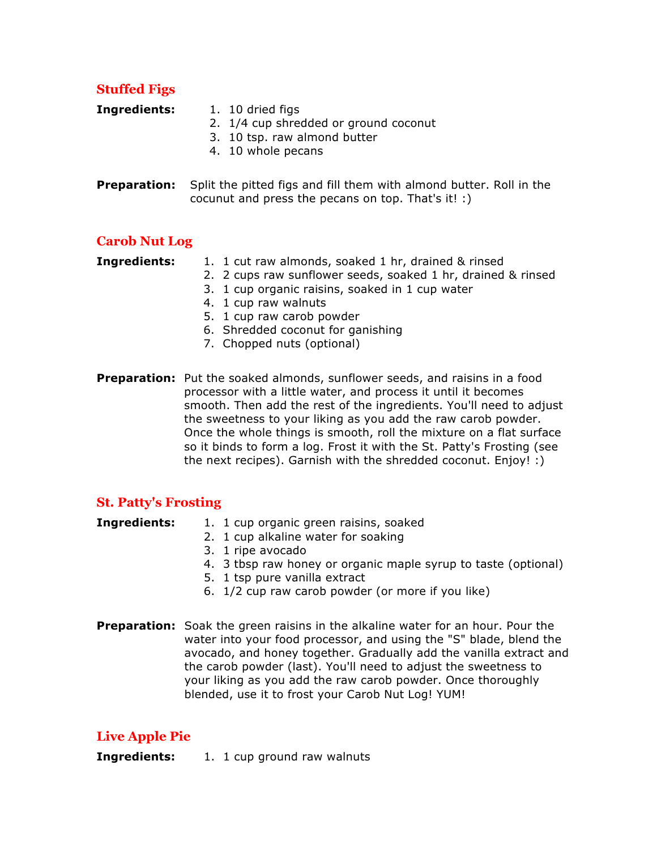## **Stuffed Figs**

- **Ingredients:** 1. 10 dried figs
	- 2. 1/4 cup shredded or ground coconut
	- 3. 10 tsp. raw almond butter
	- 4. 10 whole pecans
- **Preparation:** Split the pitted figs and fill them with almond butter. Roll in the cocunut and press the pecans on top. That's it! :)

### **Carob Nut Log**

**Ingredients:** 1. 1 cut raw almonds, soaked 1 hr, drained & rinsed

- 2. 2 cups raw sunflower seeds, soaked 1 hr, drained & rinsed
- 3. 1 cup organic raisins, soaked in 1 cup water
- 4. 1 cup raw walnuts
- 5. 1 cup raw carob powder
- 6. Shredded coconut for ganishing
- 7. Chopped nuts (optional)
- **Preparation:** Put the soaked almonds, sunflower seeds, and raisins in a food processor with a little water, and process it until it becomes smooth. Then add the rest of the ingredients. You'll need to adjust the sweetness to your liking as you add the raw carob powder. Once the whole things is smooth, roll the mixture on a flat surface so it binds to form a log. Frost it with the St. Patty's Frosting (see the next recipes). Garnish with the shredded coconut. Enjoy! :)

### **St. Patty's Frosting**

- **Ingredients:** 1. 1 cup organic green raisins, soaked
	- 2. 1 cup alkaline water for soaking
	- 3. 1 ripe avocado
	- 4. 3 tbsp raw honey or organic maple syrup to taste (optional)
	- 5. 1 tsp pure vanilla extract
	- 6. 1/2 cup raw carob powder (or more if you like)
- **Preparation:** Soak the green raisins in the alkaline water for an hour. Pour the water into your food processor, and using the "S" blade, blend the avocado, and honey together. Gradually add the vanilla extract and the carob powder (last). You'll need to adjust the sweetness to your liking as you add the raw carob powder. Once thoroughly blended, use it to frost your Carob Nut Log! YUM!

# **Live Apple Pie**

**Ingredients:** 1. 1 cup ground raw walnuts